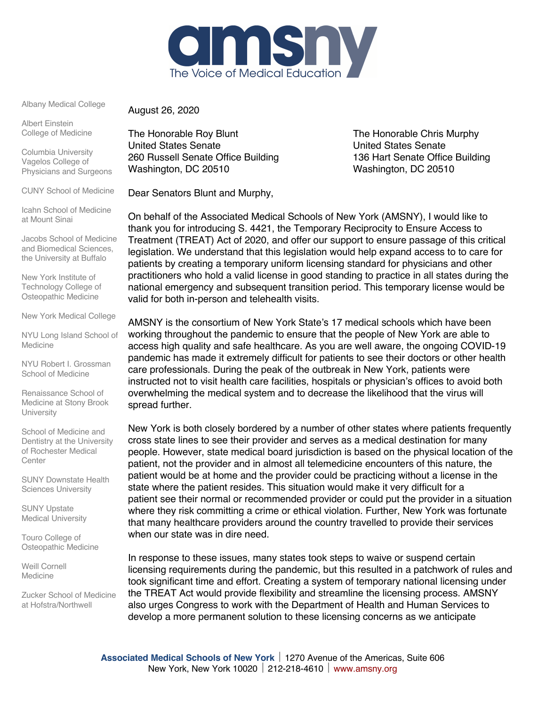

Albany Medical College

Albert Einstein College of Medicine

Columbia University Vagelos College of Physicians and Surgeons

CUNY School of Medicine

Icahn School of Medicine at Mount Sinai

Jacobs School of Medicine and Biomedical Sciences, the University at Buffalo

New York Institute of Technology College of Osteopathic Medicine

New York Medical College

NYU Long Island School of Medicine

NYU Robert I. Grossman School of Medicine

Renaissance School of Medicine at Stony Brook **University** 

School of Medicine and Dentistry at the University of Rochester Medical **Center** 

SUNY Downstate Health Sciences University

SUNY Upstate Medical University

Touro College of Osteopathic Medicine

Weill Cornell Medicine

Zucker School of Medicine at Hofstra/Northwell

August 26, 2020

The Honorable Roy Blunt The Honorable Chris Murphy United States Senate United States Senate 260 Russell Senate Office Building 136 Hart Senate Office Building Washington, DC 20510 Washington, DC 20510

Dear Senators Blunt and Murphy,

On behalf of the Associated Medical Schools of New York (AMSNY), I would like to thank you for introducing S. 4421, the Temporary Reciprocity to Ensure Access to Treatment (TREAT) Act of 2020, and offer our support to ensure passage of this critical legislation. We understand that this legislation would help expand access to to care for patients by creating a temporary uniform licensing standard for physicians and other practitioners who hold a valid license in good standing to practice in all states during the national emergency and subsequent transition period. This temporary license would be valid for both in-person and telehealth visits.

AMSNY is the consortium of New York State's 17 medical schools which have been working throughout the pandemic to ensure that the people of New York are able to access high quality and safe healthcare. As you are well aware, the ongoing COVID-19 pandemic has made it extremely difficult for patients to see their doctors or other health care professionals. During the peak of the outbreak in New York, patients were instructed not to visit health care facilities, hospitals or physician's offices to avoid both overwhelming the medical system and to decrease the likelihood that the virus will spread further.

New York is both closely bordered by a number of other states where patients frequently cross state lines to see their provider and serves as a medical destination for many people. However, state medical board jurisdiction is based on the physical location of the patient, not the provider and in almost all telemedicine encounters of this nature, the patient would be at home and the provider could be practicing without a license in the state where the patient resides. This situation would make it very difficult for a patient see their normal or recommended provider or could put the provider in a situation where they risk committing a crime or ethical violation. Further, New York was fortunate that many healthcare providers around the country travelled to provide their services when our state was in dire need.

In response to these issues, many states took steps to waive or suspend certain licensing requirements during the pandemic, but this resulted in a patchwork of rules and took significant time and effort. Creating a system of temporary national licensing under the TREAT Act would provide flexibility and streamline the licensing process. AMSNY also urges Congress to work with the Department of Health and Human Services to develop a more permanent solution to these licensing concerns as we anticipate